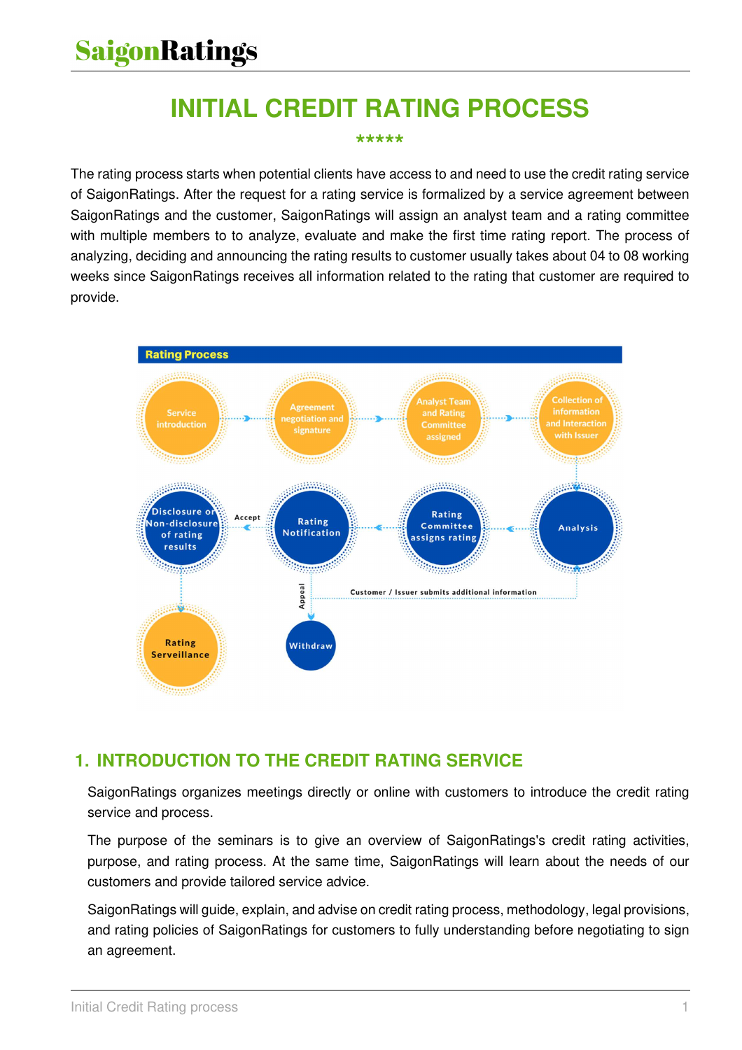# **INITIAL CREDIT RATING PROCESS**

#### **\*\*\*\*\***

The rating process starts when potential clients have access to and need to use the credit rating service of SaigonRatings. After the request for a rating service is formalized by a service agreement between SaigonRatings and the customer, SaigonRatings will assign an analyst team and a rating committee with multiple members to to analyze, evaluate and make the first time rating report. The process of analyzing, deciding and announcing the rating results to customer usually takes about 04 to 08 working weeks since SaigonRatings receives all information related to the rating that customer are required to provide.



# **1. INTRODUCTION TO THE CREDIT RATING SERVICE**

SaigonRatings organizes meetings directly or online with customers to introduce the credit rating service and process.

The purpose of the seminars is to give an overview of SaigonRatings's credit rating activities, purpose, and rating process. At the same time, SaigonRatings will learn about the needs of our customers and provide tailored service advice.

SaigonRatings will guide, explain, and advise on credit rating process, methodology, legal provisions, and rating policies of SaigonRatings for customers to fully understanding before negotiating to sign an agreement.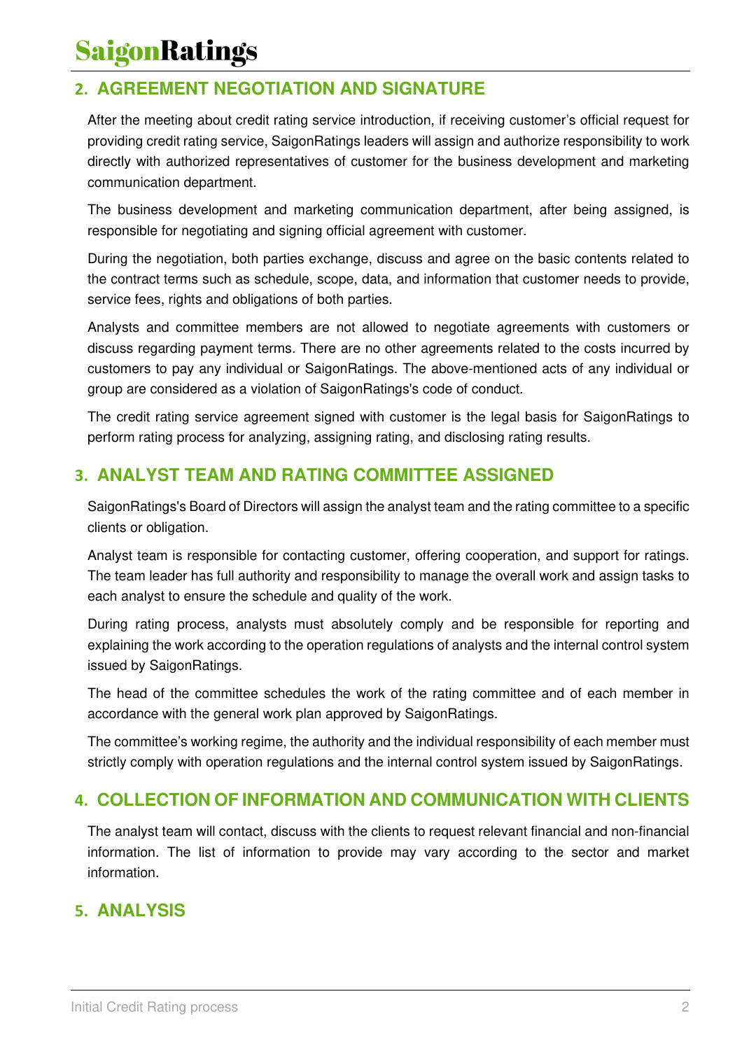# **SaigonRatings**

## **2. AGREEMENT NEGOTIATION AND SIGNATURE**

After the meeting about credit rating service introduction, if receiving customer's official request for providing credit rating service, SaigonRatings leaders will assign and authorize responsibility to work directly with authorized representatives of customer for the business development and marketing communication department.

The business development and marketing communication department, after being assigned, is responsible for negotiating and signing official agreement with customer.

During the negotiation, both parties exchange, discuss and agree on the basic contents related to the contract terms such as schedule, scope, data, and information that customer needs to provide, service fees, rights and obligations of both parties.

Analysts and committee members are not allowed to negotiate agreements with customers or discuss regarding payment terms. There are no other agreements related to the costs incurred by customers to pay any individual or SaigonRatings. The above-mentioned acts of any individual or group are considered as a violation of SaigonRatings's code of conduct.

The credit rating service agreement signed with customer is the legal basis for SaigonRatings to perform rating process for analyzing, assigning rating, and disclosing rating results.

### **3. ANALYST TEAM AND RATING COMMITTEE ASSIGNED**

SaigonRatings's Board of Directors will assign the analyst team and the rating committee to a specific clients or obligation.

Analyst team is responsible for contacting customer, offering cooperation, and support for ratings. The team leader has full authority and responsibility to manage the overall work and assign tasks to each analyst to ensure the schedule and quality of the work.

During rating process, analysts must absolutely comply and be responsible for reporting and explaining the work according to the operation regulations of analysts and the internal control system issued by SaigonRatings.

The head of the committee schedules the work of the rating committee and of each member in accordance with the general work plan approved by SaigonRatings.

The committee's working regime, the authority and the individual responsibility of each member must strictly comply with operation regulations and the internal control system issued by SaigonRatings.

#### **4. COLLECTION OF INFORMATION AND COMMUNICATION WITH CLIENTS**

The analyst team will contact, discuss with the clients to request relevant financial and non-financial information. The list of information to provide may vary according to the sector and market information.

#### **5. ANALYSIS**